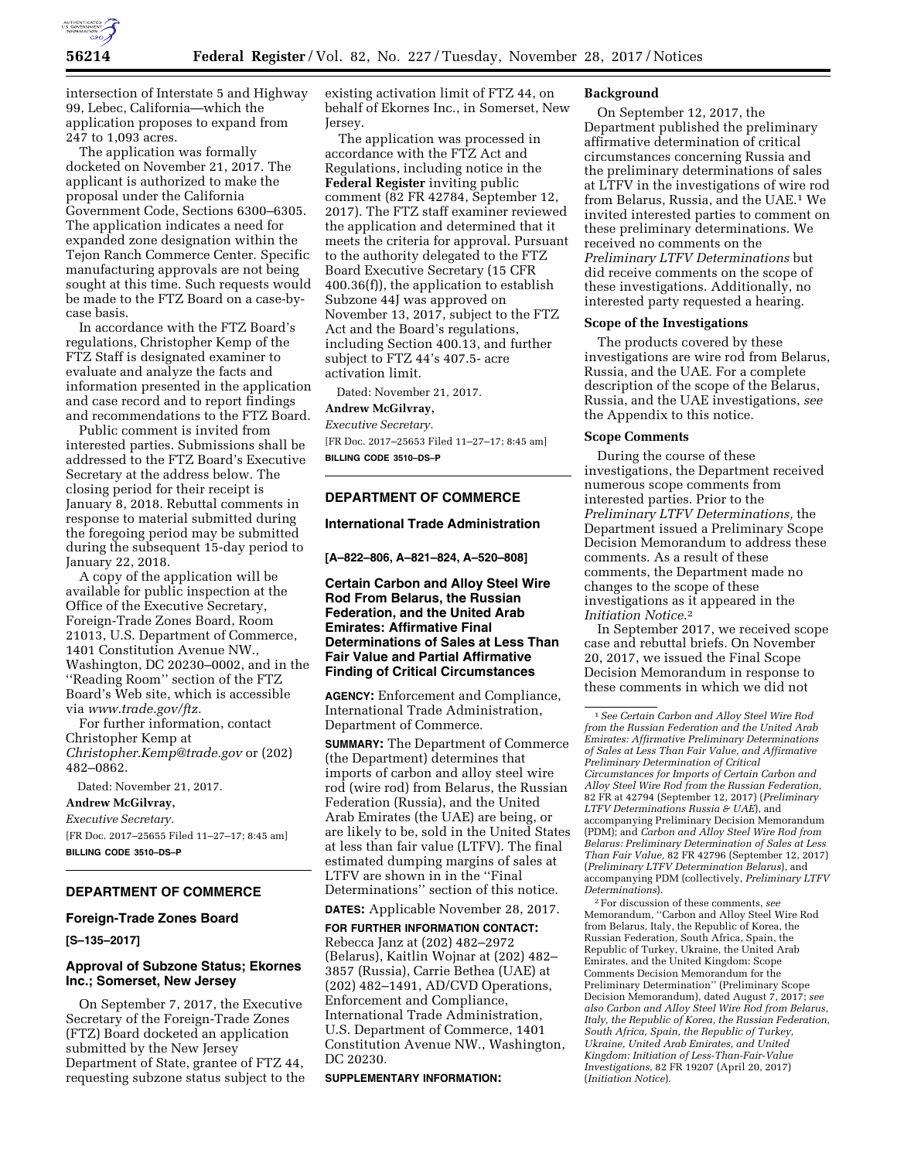

intersection of Interstate 5 and Highway 99, Lebec, California—which the application proposes to expand from 247 to 1,093 acres.

The application was formally docketed on November 21, 2017. The applicant is authorized to make the proposal under the California Government Code, Sections 6300–6305. The application indicates a need for expanded zone designation within the Tejon Ranch Commerce Center. Specific manufacturing approvals are not being sought at this time. Such requests would be made to the FTZ Board on a case-bycase basis.

In accordance with the FTZ Board's regulations, Christopher Kemp of the FTZ Staff is designated examiner to evaluate and analyze the facts and information presented in the application and case record and to report findings and recommendations to the FTZ Board.

Public comment is invited from interested parties. Submissions shall be addressed to the FTZ Board's Executive Secretary at the address below. The closing period for their receipt is January 8, 2018. Rebuttal comments in response to material submitted during the foregoing period may be submitted during the subsequent 15-day period to January 22, 2018.

A copy of the application will be available for public inspection at the Office of the Executive Secretary, Foreign-Trade Zones Board, Room 21013, U.S. Department of Commerce, 1401 Constitution Avenue NW., Washington, DC 20230–0002, and in the ''Reading Room'' section of the FTZ Board's Web site, which is accessible via *[www.trade.gov/ftz.](http://www.trade.gov/ftz)* 

For further information, contact Christopher Kemp at *[Christopher.Kemp@trade.gov](mailto:Christopher.Kemp@trade.gov)* or (202) 482–0862.

Dated: November 21, 2017.

**Andrew McGilvray,** 

*Executive Secretary.* 

[FR Doc. 2017–25655 Filed 11–27–17; 8:45 am] **BILLING CODE 3510–DS–P** 

## **DEPARTMENT OF COMMERCE**

#### **Foreign-Trade Zones Board**

**[S–135–2017]** 

## **Approval of Subzone Status; Ekornes Inc.; Somerset, New Jersey**

On September 7, 2017, the Executive Secretary of the Foreign-Trade Zones (FTZ) Board docketed an application submitted by the New Jersey Department of State, grantee of FTZ 44, requesting subzone status subject to the existing activation limit of FTZ 44, on behalf of Ekornes Inc., in Somerset, New Jersey.

The application was processed in accordance with the FTZ Act and Regulations, including notice in the **Federal Register** inviting public comment (82 FR 42784, September 12, 2017). The FTZ staff examiner reviewed the application and determined that it meets the criteria for approval. Pursuant to the authority delegated to the FTZ Board Executive Secretary (15 CFR 400.36(f)), the application to establish Subzone 44J was approved on November 13, 2017, subject to the FTZ Act and the Board's regulations, including Section 400.13, and further subject to FTZ 44's 407.5- acre activation limit.

Dated: November 21, 2017.

## **Andrew McGilvray,**

*Executive Secretary.* 

[FR Doc. 2017–25653 Filed 11–27–17; 8:45 am] **BILLING CODE 3510–DS–P** 

## **DEPARTMENT OF COMMERCE**

## **International Trade Administration**

**[A–822–806, A–821–824, A–520–808]** 

**Certain Carbon and Alloy Steel Wire Rod From Belarus, the Russian Federation, and the United Arab Emirates: Affirmative Final Determinations of Sales at Less Than Fair Value and Partial Affirmative Finding of Critical Circumstances** 

**AGENCY:** Enforcement and Compliance, International Trade Administration, Department of Commerce.

**SUMMARY:** The Department of Commerce (the Department) determines that imports of carbon and alloy steel wire rod (wire rod) from Belarus, the Russian Federation (Russia), and the United Arab Emirates (the UAE) are being, or are likely to be, sold in the United States at less than fair value (LTFV). The final estimated dumping margins of sales at LTFV are shown in in the ''Final Determinations'' section of this notice. **DATES:** Applicable November 28, 2017.

**FOR FURTHER INFORMATION CONTACT:**  Rebecca Janz at (202) 482–2972 (Belarus), Kaitlin Wojnar at (202) 482– 3857 (Russia), Carrie Bethea (UAE) at (202) 482–1491, AD/CVD Operations, Enforcement and Compliance, International Trade Administration, U.S. Department of Commerce, 1401 Constitution Avenue NW., Washington, DC 20230.

#### **SUPPLEMENTARY INFORMATION:**

#### **Background**

On September 12, 2017, the Department published the preliminary affirmative determination of critical circumstances concerning Russia and the preliminary determinations of sales at LTFV in the investigations of wire rod from Belarus, Russia, and the UAE.1 We invited interested parties to comment on these preliminary determinations. We received no comments on the *Preliminary LTFV Determinations* but did receive comments on the scope of these investigations. Additionally, no interested party requested a hearing.

#### **Scope of the Investigations**

The products covered by these investigations are wire rod from Belarus, Russia, and the UAE. For a complete description of the scope of the Belarus, Russia, and the UAE investigations, *see*  the Appendix to this notice.

#### **Scope Comments**

During the course of these investigations, the Department received numerous scope comments from interested parties. Prior to the *Preliminary LTFV Determinations,* the Department issued a Preliminary Scope Decision Memorandum to address these comments. As a result of these comments, the Department made no changes to the scope of these investigations as it appeared in the *Initiation Notice*.2

In September 2017, we received scope case and rebuttal briefs. On November 20, 2017, we issued the Final Scope Decision Memorandum in response to these comments in which we did not

2For discussion of these comments, *see*  Memorandum, ''Carbon and Alloy Steel Wire Rod from Belarus, Italy, the Republic of Korea, the Russian Federation, South Africa, Spain, the Republic of Turkey, Ukraine, the United Arab Emirates, and the United Kingdom: Scope Comments Decision Memorandum for the Preliminary Determination'' (Preliminary Scope Decision Memorandum), dated August 7, 2017; *see also Carbon and Alloy Steel Wire Rod from Belarus, Italy, the Republic of Korea, the Russian Federation, South Africa, Spain, the Republic of Turkey, Ukraine, United Arab Emirates, and United Kingdom: Initiation of Less-Than-Fair-Value Investigations,* 82 FR 19207 (April 20, 2017) (*Initiation Notice*).

<sup>1</sup>*See Certain Carbon and Alloy Steel Wire Rod from the Russian Federation and the United Arab Emirates: Affirmative Preliminary Determinations of Sales at Less Than Fair Value, and Affirmative Preliminary Determination of Critical Circumstances for Imports of Certain Carbon and Alloy Steel Wire Rod from the Russian Federation,*  82 FR at 42794 (September 12, 2017) (*Preliminary LTFV Determinations Russia & UAE*), and accompanying Preliminary Decision Memorandum (PDM); and *Carbon and Alloy Steel Wire Rod from Belarus: Preliminary Determination of Sales at Less Than Fair Value,* 82 FR 42796 (September 12, 2017) (*Preliminary LTFV Determination Belarus*), and accompanying PDM (collectively, *Preliminary LTFV Determinations*).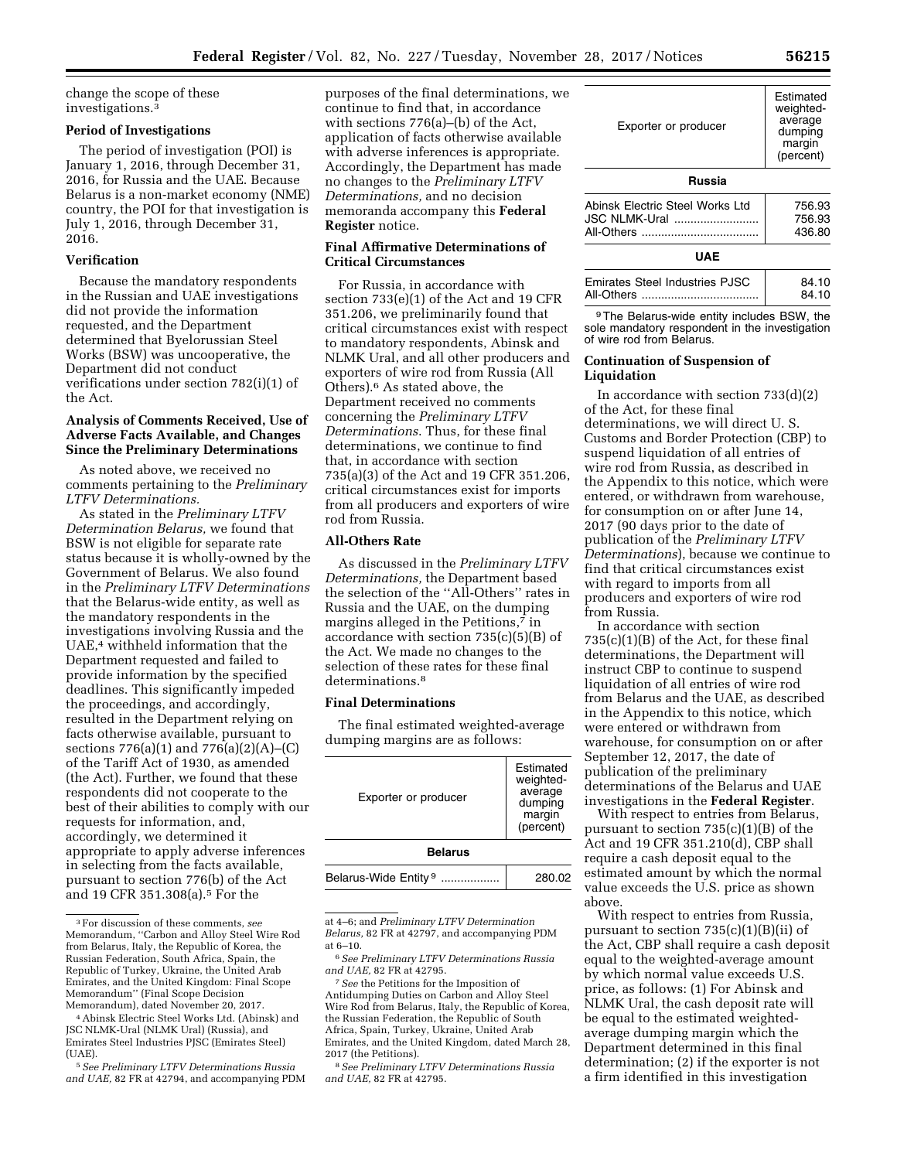change the scope of these investigations.3

#### **Period of Investigations**

The period of investigation (POI) is January 1, 2016, through December 31, 2016, for Russia and the UAE. Because Belarus is a non-market economy (NME) country, the POI for that investigation is July 1, 2016, through December 31, 2016.

## **Verification**

Because the mandatory respondents in the Russian and UAE investigations did not provide the information requested, and the Department determined that Byelorussian Steel Works (BSW) was uncooperative, the Department did not conduct verifications under section 782(i)(1) of the Act.

## **Analysis of Comments Received, Use of Adverse Facts Available, and Changes Since the Preliminary Determinations**

As noted above, we received no comments pertaining to the *Preliminary LTFV Determinations.* 

As stated in the *Preliminary LTFV Determination Belarus,* we found that BSW is not eligible for separate rate status because it is wholly-owned by the Government of Belarus. We also found in the *Preliminary LTFV Determinations*  that the Belarus-wide entity, as well as the mandatory respondents in the investigations involving Russia and the UAE,4 withheld information that the Department requested and failed to provide information by the specified deadlines. This significantly impeded the proceedings, and accordingly, resulted in the Department relying on facts otherwise available, pursuant to sections 776(a)(1) and 776(a)(2)(A)–(C) of the Tariff Act of 1930, as amended (the Act). Further, we found that these respondents did not cooperate to the best of their abilities to comply with our requests for information, and, accordingly, we determined it appropriate to apply adverse inferences in selecting from the facts available, pursuant to section 776(b) of the Act and 19 CFR 351.308(a).5 For the

purposes of the final determinations, we continue to find that, in accordance with sections 776(a)–(b) of the Act, application of facts otherwise available with adverse inferences is appropriate. Accordingly, the Department has made no changes to the *Preliminary LTFV Determinations,* and no decision memoranda accompany this **Federal Register** notice.

## **Final Affirmative Determinations of Critical Circumstances**

For Russia, in accordance with section 733(e)(1) of the Act and 19 CFR 351.206, we preliminarily found that critical circumstances exist with respect to mandatory respondents, Abinsk and NLMK Ural, and all other producers and exporters of wire rod from Russia (All Others).6 As stated above, the Department received no comments concerning the *Preliminary LTFV Determinations*. Thus, for these final determinations, we continue to find that, in accordance with section 735(a)(3) of the Act and 19 CFR 351.206, critical circumstances exist for imports from all producers and exporters of wire rod from Russia.

#### **All-Others Rate**

As discussed in the *Preliminary LTFV Determinations,* the Department based the selection of the ''All-Others'' rates in Russia and the UAE, on the dumping margins alleged in the Petitions,7 in accordance with section  $735(c)(5)(B)$  of the Act. We made no changes to the selection of these rates for these final determinations.<sup>8</sup>

## **Final Determinations**

The final estimated weighted-average dumping margins are as follows:

| Exporter or producer             | Estimated<br>weighted-<br>average<br>dumping<br>margin<br>(percent) |
|----------------------------------|---------------------------------------------------------------------|
| <b>Belarus</b>                   |                                                                     |
| Belarus-Wide Entity <sup>9</sup> | 280.02                                                              |

at 4–6; and *Preliminary LTFV Determination Belarus,* 82 FR at 42797, and accompanying PDM at 6–10.

6*See Preliminary LTFV Determinations Russia and UAE,* 82 FR at 42795.

7*See* the Petitions for the Imposition of Antidumping Duties on Carbon and Alloy Steel Wire Rod from Belarus, Italy, the Republic of Korea, the Russian Federation, the Republic of South Africa, Spain, Turkey, Ukraine, United Arab Emirates, and the United Kingdom, dated March 28, 2017 (the Petitions).

8*See Preliminary LTFV Determinations Russia and UAE,* 82 FR at 42795.

| Exporter or producer | Estimated<br>weighted-<br>average<br>dumping<br>margin<br>(percent) |
|----------------------|---------------------------------------------------------------------|
| Russia               |                                                                     |

| Abinsk Electric Steel Works Ltd | 756.93 |
|---------------------------------|--------|
| JSC NLMK-Ural                   | 756.93 |
|                                 | 436.80 |
|                                 |        |

## **UAE**

| 84.10 |
|-------|
| 84.10 |

9The Belarus-wide entity includes BSW, the sole mandatory respondent in the investigation of wire rod from Belarus.

## **Continuation of Suspension of Liquidation**

In accordance with section 733(d)(2) of the Act, for these final determinations, we will direct U. S. Customs and Border Protection (CBP) to suspend liquidation of all entries of wire rod from Russia, as described in the Appendix to this notice, which were entered, or withdrawn from warehouse, for consumption on or after June 14, 2017 (90 days prior to the date of publication of the *Preliminary LTFV Determinations*), because we continue to find that critical circumstances exist with regard to imports from all producers and exporters of wire rod from Russia.

In accordance with section 735(c)(1)(B) of the Act, for these final determinations, the Department will instruct CBP to continue to suspend liquidation of all entries of wire rod from Belarus and the UAE, as described in the Appendix to this notice, which were entered or withdrawn from warehouse, for consumption on or after September 12, 2017, the date of publication of the preliminary determinations of the Belarus and UAE investigations in the **Federal Register**.

With respect to entries from Belarus, pursuant to section 735(c)(1)(B) of the Act and 19 CFR 351.210(d), CBP shall require a cash deposit equal to the estimated amount by which the normal value exceeds the U.S. price as shown above.

With respect to entries from Russia, pursuant to section  $735(c)(1)(B)(ii)$  of the Act, CBP shall require a cash deposit equal to the weighted-average amount by which normal value exceeds U.S. price, as follows: (1) For Abinsk and NLMK Ural, the cash deposit rate will be equal to the estimated weightedaverage dumping margin which the Department determined in this final determination; (2) if the exporter is not a firm identified in this investigation

<sup>3</sup>For discussion of these comments, *see*  Memorandum, ''Carbon and Alloy Steel Wire Rod from Belarus, Italy, the Republic of Korea, the Russian Federation, South Africa, Spain, the Republic of Turkey, Ukraine, the United Arab Emirates, and the United Kingdom: Final Scope Memorandum'' (Final Scope Decision Memorandum), dated November 20, 2017.

<sup>4</sup>Abinsk Electric Steel Works Ltd. (Abinsk) and JSC NLMK-Ural (NLMK Ural) (Russia), and Emirates Steel Industries PJSC (Emirates Steel) (UAE).

<sup>5</sup>*See Preliminary LTFV Determinations Russia and UAE,* 82 FR at 42794, and accompanying PDM